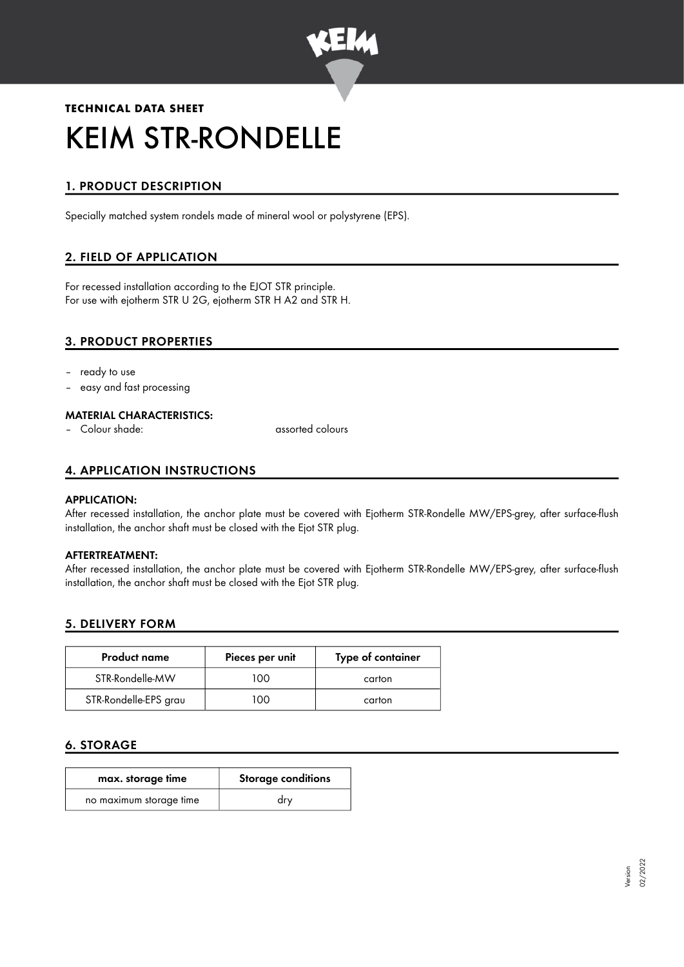

# **TECHNICAL DATA SHEET** KEIM STR-RONDELLE

# 1. PRODUCT DESCRIPTION

Specially matched system rondels made of mineral wool or polystyrene (EPS).

# 2. FIELD OF APPLICATION

For recessed installation according to the EJOT STR principle. For use with ejotherm STR U 2G, ejotherm STR H A2 and STR H.

# 3. PRODUCT PROPERTIES

- ready to use
- easy and fast processing

#### MATERIAL CHARACTERISTICS:

– Colour shade: assorted colours

# 4. APPLICATION INSTRUCTIONS

#### APPLICATION:

After recessed installation, the anchor plate must be covered with Ejotherm STR-Rondelle MW/EPS-grey, after surface-flush installation, the anchor shaft must be closed with the Ejot STR plug.

#### AFTERTREATMENT:

After recessed installation, the anchor plate must be covered with Ejotherm STR-Rondelle MW/EPS-grey, after surface-flush installation, the anchor shaft must be closed with the Ejot STR plug.

## 5. DELIVERY FORM

| <b>Product name</b>   | Pieces per unit | Type of container |
|-----------------------|-----------------|-------------------|
| STR-Rondelle-MW       | 100.            | carton            |
| STR-Rondelle-EPS grau | ഥറ              | carton            |

## 6. STORAGE

| max. storage time       | <b>Storage conditions</b> |
|-------------------------|---------------------------|
| no maximum storage time | urv                       |